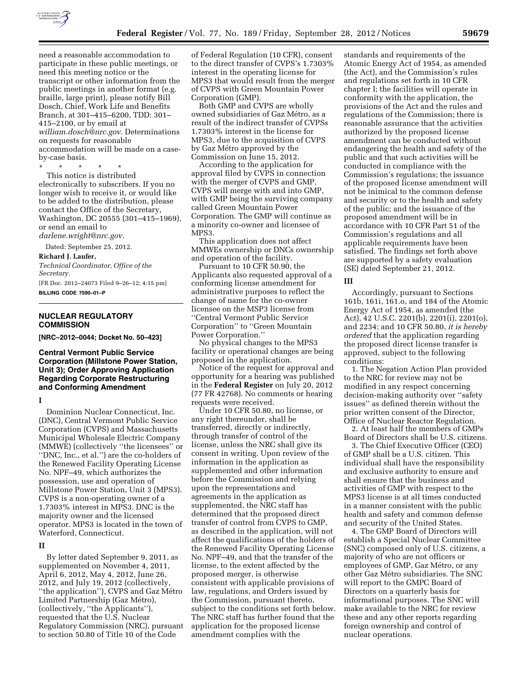

need a reasonable accommodation to participate in these public meetings, or need this meeting notice or the transcript or other information from the public meetings in another format (e.g. braille, large print), please notify Bill Dosch, Chief, Work Life and Benefits Branch, at 301–415–6200, TDD: 301– 415–2100, or by email at *[william.dosch@nrc.gov](mailto:william.dosch@nrc.gov)*. Determinations on requests for reasonable accommodation will be made on a caseby-case basis.

\* \* \* \* \* This notice is distributed electronically to subscribers. If you no longer wish to receive it, or would like to be added to the distribution, please contact the Office of the Secretary, Washington, DC 20555 (301–415–1969), or send an email to

*[darlene.wright@nrc.gov.](mailto:darlene.wright@nrc.gov)* 

Dated: September 25, 2012.

#### **Richard J. Laufer,**

*Technical Coordinator, Office of the Secretary.* 

[FR Doc. 2012–24073 Filed 9–26–12; 4:15 pm] **BILLING CODE 7590–01–P** 

#### **NUCLEAR REGULATORY COMMISSION**

**[NRC–2012–0044; Docket No. 50–423]** 

## **Central Vermont Public Service Corporation (Millstone Power Station, Unit 3); Order Approving Application Regarding Corporate Restructuring and Conforming Amendment**

#### **I**

Dominion Nuclear Connecticut, Inc. (DNC), Central Vermont Public Service Corporation (CVPS) and Massachusetts Municipal Wholesale Electric Company (MMWE) (collectively ''the licensees'' or ''DNC, Inc., et al.'') are the co-holders of the Renewed Facility Operating License No. NPF–49, which authorizes the possession, use and operation of Millstone Power Station, Unit 3 (MPS3). CVPS is a non-operating owner of a 1.7303% interest in MPS3. DNC is the majority owner and the licensed operator. MPS3 is located in the town of Waterford, Connecticut.

#### **II**

By letter dated September 9, 2011, as supplemented on November 4, 2011, April 6, 2012, May 4, 2012, June 26, 2012, and July 19, 2012 (collectively, "the application"), CVPS and Gaz Métro Limited Partnership (Gaz Métro), (collectively, ''the Applicants''), requested that the U.S. Nuclear Regulatory Commission (NRC), pursuant to section 50.80 of Title 10 of the Code

of Federal Regulation (10 CFR), consent to the direct transfer of CVPS's 1.7303% interest in the operating license for MPS3 that would result from the merger of CVPS with Green Mountain Power Corporation (GMP).

Both GMP and CVPS are wholly owned subsidiaries of Gaz Métro, as a result of the indirect transfer of CVPSs 1.7303% interest in the license for MPS3, due to the acquisition of CVPS by Gaz Métro approved by the Commission on June 15, 2012.

According to the application for approval filed by CVPS in connection with the merger of CVPS and GMP, CVPS will merge with and into GMP, with GMP being the surviving company called Green Mountain Power Corporation. The GMP will continue as a minority co-owner and licensee of MPS3.

This application does not affect MMWEs ownership or DNCs ownership and operation of the facility.

Pursuant to 10 CFR 50.90, the Applicants also requested approval of a conforming license amendment for administrative purposes to reflect the change of name for the co-owner licensee on the MSP3 license from ''Central Vermont Public Service Corporation'' to ''Green Mountain Power Corporation.''

No physical changes to the MPS3 facility or operational changes are being proposed in the application.

Notice of the request for approval and opportunity for a hearing was published in the **Federal Register** on July 20, 2012 (77 FR 42768). No comments or hearing requests were received.

Under 10 CFR 50.80, no license, or any right thereunder, shall be transferred, directly or indirectly, through transfer of control of the license, unless the NRC shall give its consent in writing. Upon review of the information in the application as supplemented and other information before the Commission and relying upon the representations and agreements in the application as supplemented, the NRC staff has determined that the proposed direct transfer of control from CVPS to GMP, as described in the application, will not affect the qualifications of the holders of the Renewed Facility Operating License No. NPF–49, and that the transfer of the license, to the extent affected by the proposed merger, is otherwise consistent with applicable provisions of law, regulations, and Orders issued by the Commission, pursuant thereto, subject to the conditions set forth below. The NRC staff has further found that the application for the proposed license amendment complies with the

standards and requirements of the Atomic Energy Act of 1954, as amended (the Act), and the Commission's rules and regulations set forth in 10 CFR chapter I; the facilities will operate in conformity with the application, the provisions of the Act and the rules and regulations of the Commission; there is reasonable assurance that the activities authorized by the proposed license amendment can be conducted without endangering the health and safety of the public and that such activities will be conducted in compliance with the Commission's regulations; the issuance of the proposed license amendment will not be inimical to the common defense and security or to the health and safety of the public; and the issuance of the proposed amendment will be in accordance with 10 CFR Part 51 of the Commission's regulations and all applicable requirements have been satisfied. The findings set forth above are supported by a safety evaluation (SE) dated September 21, 2012.

#### **III**

Accordingly, pursuant to Sections 161b, 161i, 161.o, and 184 of the Atomic Energy Act of 1954, as amended (the Act), 42 U.S.C. 2201(b), 2201(i), 2201(o), and 2234; and 10 CFR 50.80, *it is hereby ordered* that the application regarding the proposed direct license transfer is approved, subject to the following conditions:

1. The Negation Action Plan provided to the NRC for review may not be modified in any respect concerning decision-making authority over ''safety issues'' as defined therein without the prior written consent of the Director, Office of Nuclear Reactor Regulation.

2. At least half the members of GMPs Board of Directors shall be U.S. citizens.

3. The Chief Executive Officer (CEO) of GMP shall be a U.S. citizen. This individual shall have the responsibility and exclusive authority to ensure and shall ensure that the business and activities of GMP with respect to the MPS3 license is at all times conducted in a manner consistent with the public health and safety and common defense and security of the United States.

4. The GMP Board of Directors will establish a Special Nuclear Committee (SNC) composed only of U.S. citizens, a majority of who are not officers or employees of GMP, Gaz Métro, or any other Gaz Métro subsidiaries. The SNC will report to the GMPC Board of Directors on a quarterly basis for informational purposes. The SNC will make available to the NRC for review these and any other reports regarding foreign ownership and control of nuclear operations.